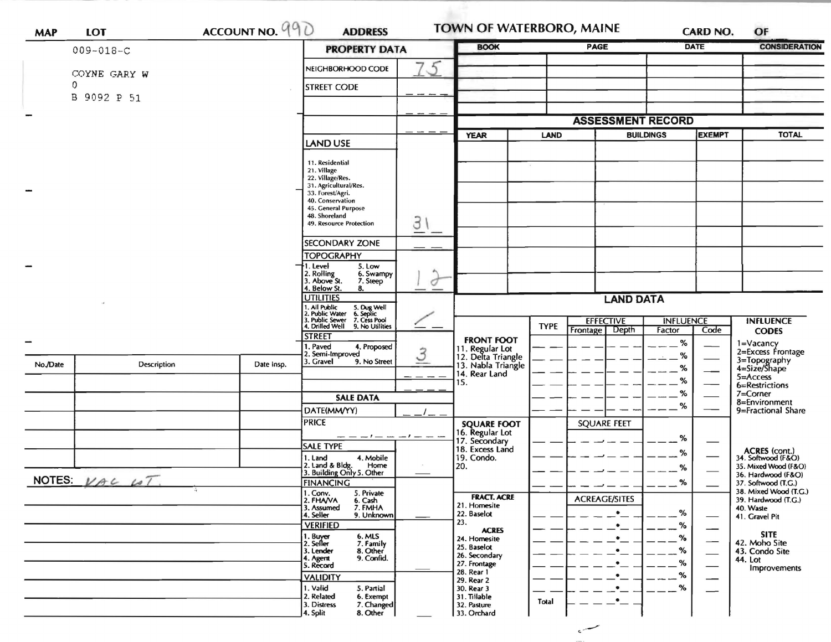| <b>MAP</b>                | <b>LOT</b>      | ACCOUNT NO. 990      | <b>ADDRESS</b>                                                       |                                    | <b>TOWN OF WATERBORO, MAINE</b>       |             |                                      | <b>CARD NO.</b>            |                          | OF                                                          |
|---------------------------|-----------------|----------------------|----------------------------------------------------------------------|------------------------------------|---------------------------------------|-------------|--------------------------------------|----------------------------|--------------------------|-------------------------------------------------------------|
|                           | $009 - 018 - C$ | <b>PROPERTY DATA</b> | <b>BOOK</b>                                                          |                                    | <b>PAGE</b>                           | <b>DATE</b> |                                      | <b>CONSIDERATION</b>       |                          |                                                             |
|                           | COYNE GARY W    |                      | NEIGHBORHOOD CODE                                                    | $5\overline{5}$                    |                                       |             |                                      |                            |                          |                                                             |
|                           | 0               |                      | <b>STREET CODE</b>                                                   |                                    |                                       |             |                                      |                            |                          |                                                             |
|                           | B 9092 P 51     |                      |                                                                      |                                    |                                       |             |                                      |                            |                          |                                                             |
|                           |                 |                      |                                                                      |                                    |                                       |             | <b>ASSESSMENT RECORD</b>             |                            |                          |                                                             |
|                           |                 |                      | <b>LAND USE</b>                                                      |                                    | <b>YEAR</b><br><b>LAND</b>            |             | <b>BUILDINGS</b>                     |                            | <b>EXEMPT</b>            | <b>TOTAL</b>                                                |
|                           |                 |                      |                                                                      |                                    |                                       |             |                                      |                            |                          |                                                             |
|                           |                 |                      | 11. Residential<br>21. Village                                       |                                    |                                       | $\sim$      |                                      |                            |                          |                                                             |
|                           |                 |                      | 22. Village/Res.<br>31. Agricultural/Res.                            |                                    |                                       |             |                                      |                            |                          |                                                             |
|                           |                 |                      | 33. Forest/Agri.<br>40. Conservation                                 |                                    |                                       |             |                                      |                            |                          |                                                             |
|                           |                 |                      | 45. General Purpose<br>48. Shoreland                                 |                                    |                                       |             |                                      |                            |                          |                                                             |
|                           |                 |                      | 49. Resource Protection                                              | З                                  |                                       |             |                                      |                            |                          |                                                             |
|                           |                 |                      | <b>SECONDARY ZONE</b>                                                |                                    |                                       |             |                                      |                            |                          |                                                             |
|                           |                 |                      | <b>TOPOGRAPHY</b>                                                    |                                    |                                       |             |                                      |                            |                          |                                                             |
|                           |                 |                      | I. Level<br>5. Low<br>6. Swampy                                      | ٨                                  |                                       |             |                                      |                            |                          |                                                             |
|                           |                 |                      | 2. Rolling<br>3. Above St.<br>7. Steep<br>4. Below St.<br>8.         | O                                  |                                       |             |                                      |                            |                          |                                                             |
|                           |                 | <b>UTILITIES</b>     |                                                                      | <b>LAND DATA</b>                   |                                       |             |                                      |                            |                          |                                                             |
|                           |                 |                      | 1. All Public<br>2. Public Water<br>5. Dug Well<br>6. Septic         |                                    |                                       |             |                                      |                            |                          |                                                             |
|                           |                 |                      | . Public Sewer<br>7. Cess Pool<br>4. Drilled Well<br>9. No Utilities |                                    |                                       | <b>TYPE</b> | <b>EFFECTIVE</b><br>Frontage   Depth | <b>INFLUENCE</b><br>Factor | Code                     | <b>INFLUENCE</b><br><b>CODES</b>                            |
|                           |                 |                      | <b>STREET</b><br>I. Paved<br>4. Proposed                             |                                    | <b>FRONT FOOT</b>                     |             |                                      | %                          |                          | 1=Vacancy<br>2=Excess Frontage                              |
|                           |                 |                      | 2. Semi-Improved<br>3. Gravel<br>9. No Street                        | $\mathcal{S}% _{CS}^{(n)}(\theta)$ | 11. Regular Lot<br>12. Delta Triangle |             |                                      | ℅                          |                          |                                                             |
| No./Date                  | Description     | Date Insp.           |                                                                      |                                    | 13. Nabla Triangle<br>14. Rear Land   |             |                                      | ℅                          |                          | 3=Topography<br>4=Size/Shape<br>$5 =$ Access                |
|                           |                 |                      |                                                                      |                                    | 15.                                   |             |                                      | %                          |                          | 6=Restrictions                                              |
|                           |                 |                      | <b>SALE DATA</b>                                                     |                                    |                                       |             |                                      | %<br>%                     |                          | 7=Corner<br>8=Environment                                   |
|                           |                 |                      | DATE(MM/YY)<br><b>PRICE</b>                                          |                                    |                                       |             |                                      |                            |                          | 9=Fractional Share                                          |
|                           |                 |                      | $- - - - - - - - - - -$                                              |                                    | <b>SQUARE FOOT</b><br>16. Regular Lot |             | <b>SQUARE FEET</b>                   |                            |                          |                                                             |
|                           |                 |                      | SALE TYPE                                                            |                                    | 17. Secondary<br>18. Excess Land      |             |                                      | %                          |                          |                                                             |
|                           |                 |                      | 1. Land<br>4. Mobile<br>2. Land & Bldg.<br>Home                      |                                    | 19. Condo.<br>20.                     |             |                                      | %                          |                          | ACRES (cont.)<br>34. Softwood (F&O)<br>35. Mixed Wood (F&O) |
|                           |                 |                      | 3. Building Only 5. Other                                            |                                    |                                       |             |                                      | $\%$                       |                          | 36. Hardwood (F&O)                                          |
| NOTES: $VAC$ $\omega T$ . |                 |                      | <b>FINANCING</b><br>5. Private                                       |                                    |                                       |             |                                      | %                          |                          | 37. Softwood (T.G.)<br>38. Mixed Wood (T.G.)                |
|                           |                 |                      | 1. Conv.<br>2. FHA/VA<br>6. Cash<br>7. FMHA<br>3. Assumed            |                                    | <b>FRACT. ACRE</b><br>21. Homesite    |             | <b>ACREAGE/SITES</b>                 |                            |                          | 39. Hardwood (T.G.)<br>40. Waste                            |
|                           |                 |                      | 4. Seller<br>9. Unknown<br><b>VERIFIED</b>                           |                                    | 22. Baselot<br>23.                    |             | $\bullet$                            | %                          |                          | 41. Gravel Pit                                              |
|                           |                 |                      | 6. MLS                                                               |                                    | <b>ACRES</b><br>24. Homesite          |             | $\bullet$<br>$\bullet$               | %<br>$\%$                  |                          | <b>SITE</b>                                                 |
|                           |                 |                      | 1. Buyer<br>2. Seller<br>7. Family<br>8. Other<br>3. Lender          |                                    | 25. Baselot                           |             |                                      | %                          | $\overline{\phantom{0}}$ | 42. Moho Site<br>43. Condo Site                             |
|                           |                 |                      | 9. Confid.<br>4. Agent<br>5. Record                                  |                                    | 26. Secondary<br>27. Frontage         |             |                                      | %                          |                          | 44. Lot<br>Improvements                                     |
|                           |                 |                      | <b>VALIDITY</b>                                                      |                                    | 28. Rear 1<br>29. Rear 2              |             |                                      | %                          |                          |                                                             |
|                           |                 |                      | 1. Valid<br>5. Partial<br>2. Related<br>6. Exempt                    |                                    | 30. Rear 3<br>31. Tillable            |             |                                      | $\%$                       |                          |                                                             |
|                           |                 |                      | 3. Distress<br>7. Changed                                            |                                    | 32. Pasture                           | Total       |                                      |                            |                          |                                                             |
|                           |                 |                      | 8. Other<br>4. Split                                                 |                                    | 33. Orchard                           |             |                                      |                            |                          |                                                             |